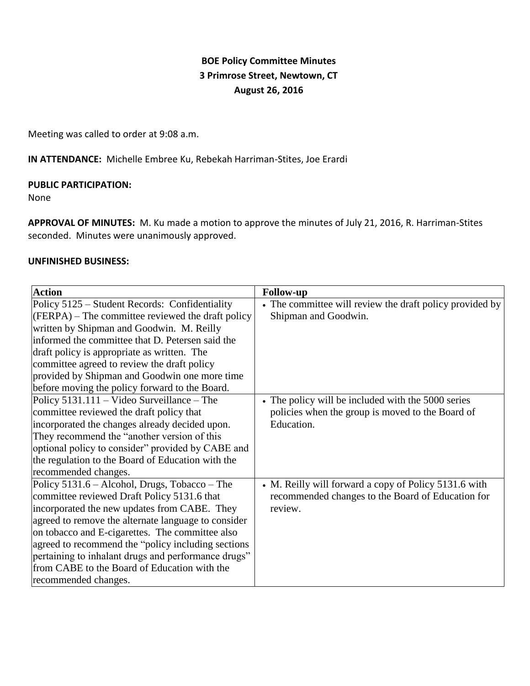# **BOE Policy Committee Minutes 3 Primrose Street, Newtown, CT August 26, 2016**

Meeting was called to order at 9:08 a.m.

**IN ATTENDANCE:** Michelle Embree Ku, Rebekah Harriman-Stites, Joe Erardi

### **PUBLIC PARTICIPATION:**

None

**APPROVAL OF MINUTES:** M. Ku made a motion to approve the minutes of July 21, 2016, R. Harriman-Stites seconded. Minutes were unanimously approved.

#### **UNFINISHED BUSINESS:**

| <b>Action</b>                                       | <b>Follow-up</b>                                         |
|-----------------------------------------------------|----------------------------------------------------------|
| Policy 5125 – Student Records: Confidentiality      | • The committee will review the draft policy provided by |
| (FERPA) – The committee reviewed the draft policy   | Shipman and Goodwin.                                     |
| written by Shipman and Goodwin. M. Reilly           |                                                          |
| informed the committee that D. Petersen said the    |                                                          |
| draft policy is appropriate as written. The         |                                                          |
| committee agreed to review the draft policy         |                                                          |
| provided by Shipman and Goodwin one more time       |                                                          |
| before moving the policy forward to the Board.      |                                                          |
| Policy $5131.111 -$ Video Surveillance – The        | • The policy will be included with the 5000 series       |
| committee reviewed the draft policy that            | policies when the group is moved to the Board of         |
| incorporated the changes already decided upon.      | Education.                                               |
| They recommend the "another version of this         |                                                          |
| optional policy to consider" provided by CABE and   |                                                          |
| the regulation to the Board of Education with the   |                                                          |
| recommended changes.                                |                                                          |
| Policy 5131.6 – Alcohol, Drugs, Tobacco – The       | • M. Reilly will forward a copy of Policy 5131.6 with    |
| committee reviewed Draft Policy 5131.6 that         | recommended changes to the Board of Education for        |
| incorporated the new updates from CABE. They        | review.                                                  |
| agreed to remove the alternate language to consider |                                                          |
| on tobacco and E-cigarettes. The committee also     |                                                          |
| agreed to recommend the "policy including sections" |                                                          |
| pertaining to inhalant drugs and performance drugs" |                                                          |
| from CABE to the Board of Education with the        |                                                          |
| recommended changes.                                |                                                          |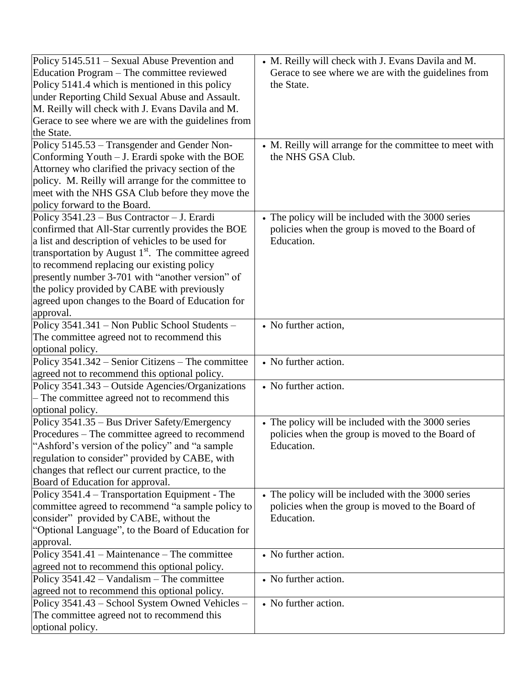| Policy 5145.511 – Sexual Abuse Prevention and<br>Education Program – The committee reviewed<br>Policy 5141.4 which is mentioned in this policy<br>under Reporting Child Sexual Abuse and Assault.<br>M. Reilly will check with J. Evans Davila and M.<br>Gerace to see where we are with the guidelines from<br>the State.<br>Policy 5145.53 - Transgender and Gender Non-<br>Conforming Youth $-J$ . Erardi spoke with the BOE<br>Attorney who clarified the privacy section of the | • M. Reilly will check with J. Evans Davila and M.<br>Gerace to see where we are with the guidelines from<br>the State.<br>• M. Reilly will arrange for the committee to meet with<br>the NHS GSA Club. |
|--------------------------------------------------------------------------------------------------------------------------------------------------------------------------------------------------------------------------------------------------------------------------------------------------------------------------------------------------------------------------------------------------------------------------------------------------------------------------------------|---------------------------------------------------------------------------------------------------------------------------------------------------------------------------------------------------------|
| policy. M. Reilly will arrange for the committee to<br>meet with the NHS GSA Club before they move the<br>policy forward to the Board.<br>Policy 3541.23 - Bus Contractor - J. Erardi                                                                                                                                                                                                                                                                                                | • The policy will be included with the 3000 series                                                                                                                                                      |
| confirmed that All-Star currently provides the BOE<br>a list and description of vehicles to be used for<br>transportation by August 1 <sup>st</sup> . The committee agreed<br>to recommend replacing our existing policy<br>presently number 3-701 with "another version" of<br>the policy provided by CABE with previously<br>agreed upon changes to the Board of Education for<br>approval.                                                                                        | policies when the group is moved to the Board of<br>Education.                                                                                                                                          |
| Policy 3541.341 - Non Public School Students -<br>The committee agreed not to recommend this<br>optional policy.                                                                                                                                                                                                                                                                                                                                                                     | • No further action,                                                                                                                                                                                    |
| Policy 3541.342 - Senior Citizens - The committee<br>agreed not to recommend this optional policy.                                                                                                                                                                                                                                                                                                                                                                                   | • No further action.                                                                                                                                                                                    |
| Policy 3541.343 – Outside Agencies/Organizations<br>- The committee agreed not to recommend this<br>optional policy.                                                                                                                                                                                                                                                                                                                                                                 | • No further action.                                                                                                                                                                                    |
| Policy 3541.35 - Bus Driver Safety/Emergency<br>Procedures – The committee agreed to recommend<br>"Ashford's version of the policy" and "a sample"<br>regulation to consider" provided by CABE, with<br>changes that reflect our current practice, to the<br>Board of Education for approval.                                                                                                                                                                                        | • The policy will be included with the 3000 series<br>policies when the group is moved to the Board of<br>Education.                                                                                    |
| Policy 3541.4 - Transportation Equipment - The<br>committee agreed to recommend "a sample policy to<br>consider" provided by CABE, without the<br>"Optional Language", to the Board of Education for<br>approval.                                                                                                                                                                                                                                                                    | • The policy will be included with the 3000 series<br>policies when the group is moved to the Board of<br>Education.                                                                                    |
| Policy 3541.41 – Maintenance – The committee<br>agreed not to recommend this optional policy.                                                                                                                                                                                                                                                                                                                                                                                        | • No further action.                                                                                                                                                                                    |
| Policy 3541.42 - Vandalism - The committee<br>agreed not to recommend this optional policy.                                                                                                                                                                                                                                                                                                                                                                                          | • No further action.                                                                                                                                                                                    |
| Policy 3541.43 - School System Owned Vehicles -<br>The committee agreed not to recommend this<br>optional policy.                                                                                                                                                                                                                                                                                                                                                                    | • No further action.                                                                                                                                                                                    |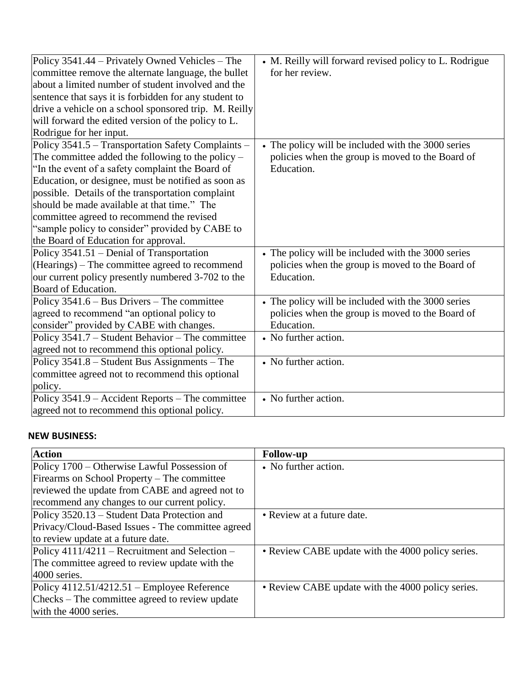| Policy 3541.44 – Privately Owned Vehicles – The       | • M. Reilly will forward revised policy to L. Rodrigue |
|-------------------------------------------------------|--------------------------------------------------------|
| committee remove the alternate language, the bullet   | for her review.                                        |
| about a limited number of student involved and the    |                                                        |
| sentence that says it is forbidden for any student to |                                                        |
| drive a vehicle on a school sponsored trip. M. Reilly |                                                        |
| will forward the edited version of the policy to L.   |                                                        |
| Rodrigue for her input.                               |                                                        |
| Policy 3541.5 - Transportation Safety Complaints -    | • The policy will be included with the 3000 series     |
| The committee added the following to the policy $-$   | policies when the group is moved to the Board of       |
| "In the event of a safety complaint the Board of      | Education.                                             |
| Education, or designee, must be notified as soon as   |                                                        |
| possible. Details of the transportation complaint     |                                                        |
| should be made available at that time." The           |                                                        |
| committee agreed to recommend the revised             |                                                        |
| "sample policy to consider" provided by CABE to       |                                                        |
| the Board of Education for approval.                  |                                                        |
| Policy 3541.51 – Denial of Transportation             | • The policy will be included with the 3000 series     |
| (Hearings) – The committee agreed to recommend        | policies when the group is moved to the Board of       |
| our current policy presently numbered 3-702 to the    | Education.                                             |
| Board of Education.                                   |                                                        |
| Policy 3541.6 – Bus Drivers – The committee           | • The policy will be included with the 3000 series     |
| agreed to recommend "an optional policy to            | policies when the group is moved to the Board of       |
| consider" provided by CABE with changes.              | Education.                                             |
| Policy 3541.7 – Student Behavior – The committee      | • No further action.                                   |
| agreed not to recommend this optional policy.         |                                                        |
| Policy 3541.8 - Student Bus Assignments - The         | • No further action.                                   |
| committee agreed not to recommend this optional       |                                                        |
| policy.                                               |                                                        |
| Policy 3541.9 – Accident Reports – The committee      | • No further action.                                   |
| agreed not to recommend this optional policy.         |                                                        |

## **NEW BUSINESS:**

| <b>Action</b>                                     | <b>Follow-up</b>                                  |
|---------------------------------------------------|---------------------------------------------------|
| Policy 1700 – Otherwise Lawful Possession of      | • No further action.                              |
| Firearms on School Property – The committee       |                                                   |
| reviewed the update from CABE and agreed not to   |                                                   |
| recommend any changes to our current policy.      |                                                   |
| Policy 3520.13 - Student Data Protection and      | • Review at a future date.                        |
| Privacy/Cloud-Based Issues - The committee agreed |                                                   |
| to review update at a future date.                |                                                   |
| Policy 4111/4211 – Recruitment and Selection –    | • Review CABE update with the 4000 policy series. |
| The committee agreed to review update with the    |                                                   |
| 4000 series.                                      |                                                   |
| Policy $4112.51/4212.51$ – Employee Reference     | • Review CABE update with the 4000 policy series. |
| Checks – The committee agreed to review update    |                                                   |
| with the 4000 series.                             |                                                   |